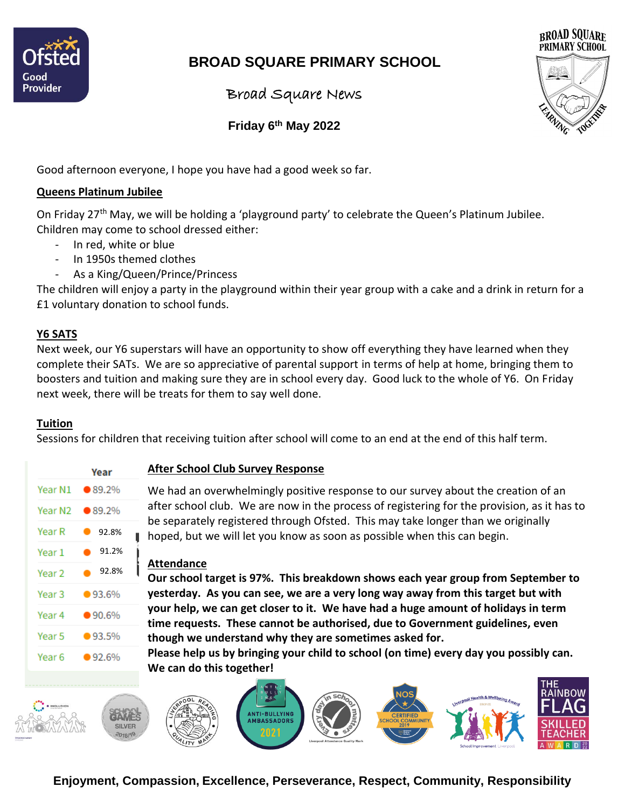

# **BROAD SQUARE PRIMARY SCHOOL**

Broad Square News



 **Friday 6 th May 2022**

Good afternoon everyone, I hope you have had a good week so far.

### **Queens Platinum Jubilee**

On Friday 27<sup>th</sup> May, we will be holding a 'playground party' to celebrate the Queen's Platinum Jubilee. Children may come to school dressed either:

- In red, white or blue
- In 1950s themed clothes
- As a King/Queen/Prince/Princess

The children will enjoy a party in the playground within their year group with a cake and a drink in return for a £1 voluntary donation to school funds.

### **Y6 SATS**

Next week, our Y6 superstars will have an opportunity to show off everything they have learned when they complete their SATs. We are so appreciative of parental support in terms of help at home, bringing them to boosters and tuition and making sure they are in school every day. Good luck to the whole of Y6. On Friday next week, there will be treats for them to say well done.

### **Tuition**

Sessions for children that receiving tuition after school will come to an end at the end of this half term.

|        | Year                   |
|--------|------------------------|
|        | Year N1 <b>●</b> 89.2% |
|        | Year N2 ● 89.2%        |
| Year R | 92.8%                  |
| Year 1 | 91.2%<br>Ó             |
| Year 2 | 92.8%                  |
| Year 3 | •93.6%                 |
| Year 4 | •90.6%                 |
| Year 5 | •93.5%                 |
| Year 6 | •92.6%                 |
|        |                        |

### **After School Club Survey Response**

We had an overwhelmingly positive response to our survey about the creation of an after school club. We are now in the process of registering for the provision, as it has to be separately registered through Ofsted. This may take longer than we originally hoped, but we will let you know as soon as possible when this can begin.

### **Attendance**

**Our school target is 97%. This breakdown shows each year group from September to yesterday. As you can see, we are a very long way away from this target but with your help, we can get closer to it. We have had a huge amount of holidays in term time requests. These cannot be authorised, due to Government guidelines, even though we understand why they are sometimes asked for.** 

**Please help us by bringing your child to school (on time) every day you possibly can. We can do this together!**



**Enjoyment, Compassion, Excellence, Perseverance, Respect, Community, Responsibility**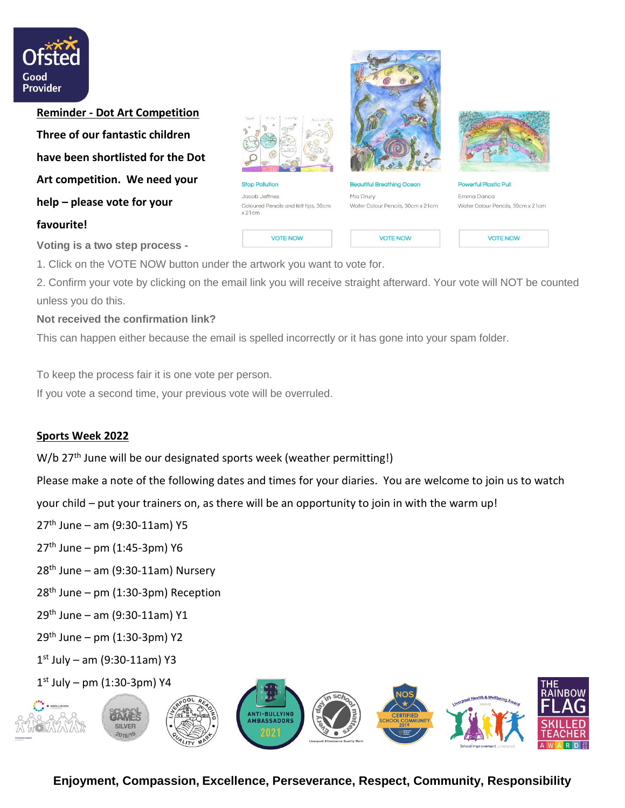

**Reminder - Dot Art Competition Three of our fantastic children have been shortlisted for the Dot Art competition. We need your help – please vote for your favourite!**





**VOTE NOW** 



**VOTE NOW** 



**Powerful Plastic Pull** Emma Danca Water Colour Pencils, 30cm x 21cm

**VOTE NOW** 

**Voting is a two step process -**

1. Click on the VOTE NOW button under the artwork you want to vote for.

2. Confirm your vote by clicking on the email link you will receive straight afterward. Your vote will NOT be counted unless you do this.

#### **Not received the confirmation link?**

This can happen either because the email is spelled incorrectly or it has gone into your spam folder.

To keep the process fair it is one vote per person.

If you vote a second time, your previous vote will be overruled.

### **Sports Week 2022**

W/b 27<sup>th</sup> June will be our designated sports week (weather permitting!)

Please make a note of the following dates and times for your diaries. You are welcome to join us to watch

your child – put your trainers on, as there will be an opportunity to join in with the warm up!

- $27<sup>th</sup>$  June am (9:30-11am) Y5
- $27<sup>th</sup>$  June pm (1:45-3pm) Y6
- $28<sup>th</sup>$  June am (9:30-11am) Nursery
- $28<sup>th</sup>$  June pm (1:30-3pm) Reception
- 29th June am (9:30-11am) Y1
- 29th June pm (1:30-3pm) Y2
- 1 st July am (9:30-11am) Y3
- 1 st July pm (1:30-3pm) Y4



**Enjoyment, Compassion, Excellence, Perseverance, Respect, Community, Responsibility**